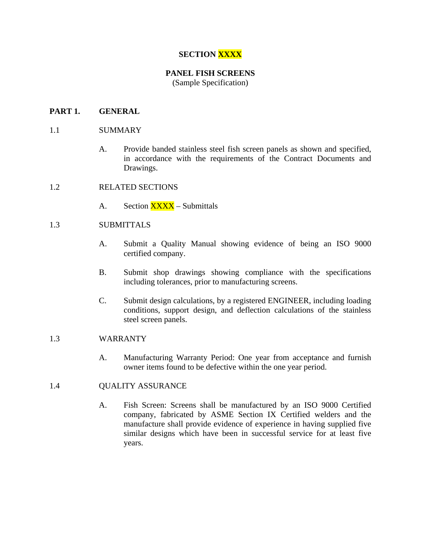## **SECTION XXXX**

# **PANEL FISH SCREENS**

(Sample Specification)

## **PART 1. GENERAL**

### 1.1 SUMMARY

- A. Provide banded stainless steel fish screen panels as shown and specified, in accordance with the requirements of the Contract Documents and Drawings.
- 1.2 RELATED SECTIONS
	- A. Section XXXX Submittals

## 1.3 SUBMITTALS

- A. Submit a Quality Manual showing evidence of being an ISO 9000 certified company.
- B. Submit shop drawings showing compliance with the specifications including tolerances, prior to manufacturing screens.
- C. Submit design calculations, by a registered ENGINEER, including loading conditions, support design, and deflection calculations of the stainless steel screen panels.

#### 1.3 WARRANTY

A. Manufacturing Warranty Period: One year from acceptance and furnish owner items found to be defective within the one year period.

#### 1.4 QUALITY ASSURANCE

A. Fish Screen: Screens shall be manufactured by an ISO 9000 Certified company, fabricated by ASME Section IX Certified welders and the manufacture shall provide evidence of experience in having supplied five similar designs which have been in successful service for at least five years.